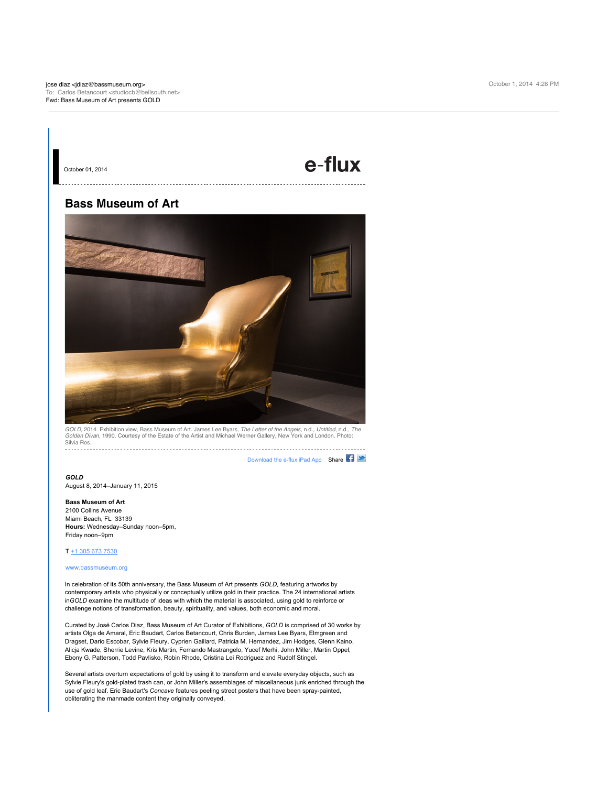# e-flux

## **Bass Museum of Art**

October 01, 2014



*GOLD*, 2014. Exhibition view, Bass Museum of Art. James Lee Byars, *The Letter of the Angels*, n.d., *Untitled*, n.d., *The*<br>*Golden Divan*, 1990. Courtesy of the Estate of the Artist and Michael Werner Gallery, New York Silvia Ros.

[Download the e-flux iPad App](http://interspire.e-flux.com/link.php?M=123211&N=10073&L=7113&F=H) Shar[e](http://interspire.e-flux.com/link.php?M=123211&N=10073&L=2685&F=H)

### *GOLD*

August 8, 2014–January 11, 2015

#### **Bass Museum of Art**

2100 Collins Avenue Miami Beach, FL 33139 **Hours:** Wednesday–Sunday noon–5pm, Friday noon–9pm

## $T + 13056737530$

#### [www.bassmuseum.org](http://interspire.e-flux.com/link.php?M=123211&N=10073&L=2799&F=H)

In celebration of its 50th anniversary, the Bass Museum of Art presents *GOLD,* featuring artworks by contemporary artists who physically or conceptually utilize gold in their practice. The 24 international artists in*GOLD* examine the multitude of ideas with which the material is associated, using gold to reinforce or challenge notions of transformation, beauty, spirituality, and values, both economic and moral.

Curated by José Carlos Diaz, Bass Museum of Art Curator of Exhibitions, *GOLD* is comprised of 30 works by artists Olga de Amaral, Eric Baudart, Carlos Betancourt, Chris Burden, James Lee Byars, Elmgreen and Dragset, Dario Escobar, Sylvie Fleury, Cyprien Gaillard, Patricia M. Hernandez, Jim Hodges, Glenn Kaino, Alicja Kwade, Sherrie Levine, Kris Martin, Fernando Mastrangelo, Yucef Merhi, John Miller, Martin Oppel, Ebony G. Patterson, Todd Pavlisko, Robin Rhode, Cristina Lei Rodriguez and Rudolf Stingel.

Several artists overturn expectations of gold by using it to transform and elevate everyday objects, such as Sylvie Fleury's gold-plated trash can, or John Miller's assemblages of miscellaneous junk enriched through the use of gold leaf. Eric Baudart's *Concave* features peeling street posters that have been spray-painted, obliterating the manmade content they originally conveyed.